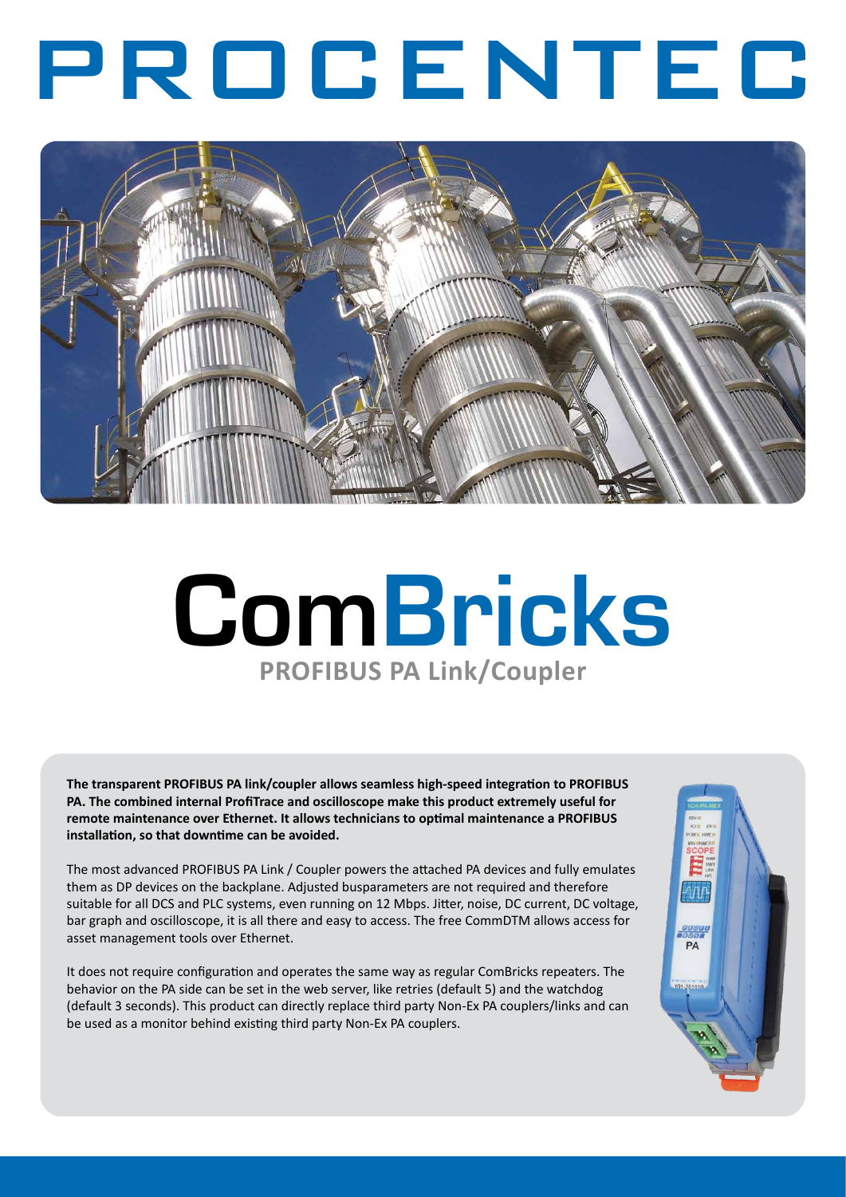# PROCENTEC



# **ComBricks PROFIBUS PA Link/Coupler**

**The transparent PROFIBUS PA link/coupler allows seamless high-speed integration to PROFIBUS PA. The combined internal ProfiTrace and oscilloscope make this product extremely useful for remote maintenance over Ethernet. It allows technicians to optimal maintenance a PROFIBUS installation, so that downtime can be avoided.** 

The most advanced PROFIBUS PA Link / Coupler powers the attached PA devices and fully emulates them as DP devices on the backplane. Adjusted busparameters are not required and therefore suitable for all DCS and PLC systems, even running on 12 Mbps. Jitter, noise, DC current, DC voltage, bar graph and oscilloscope, it is all there and easy to access. The free CommDTM allows access for asset management tools over Ethernet.

It does not require configuration and operates the same way as regular ComBricks repeaters. The behavior on the PA side can be set in the web server, like retries (default 5) and the watchdog (default 3 seconds). This product can directly replace third party Non-Ex PA couplers/links and can be used as a monitor behind existing third party Non-Ex PA couplers.